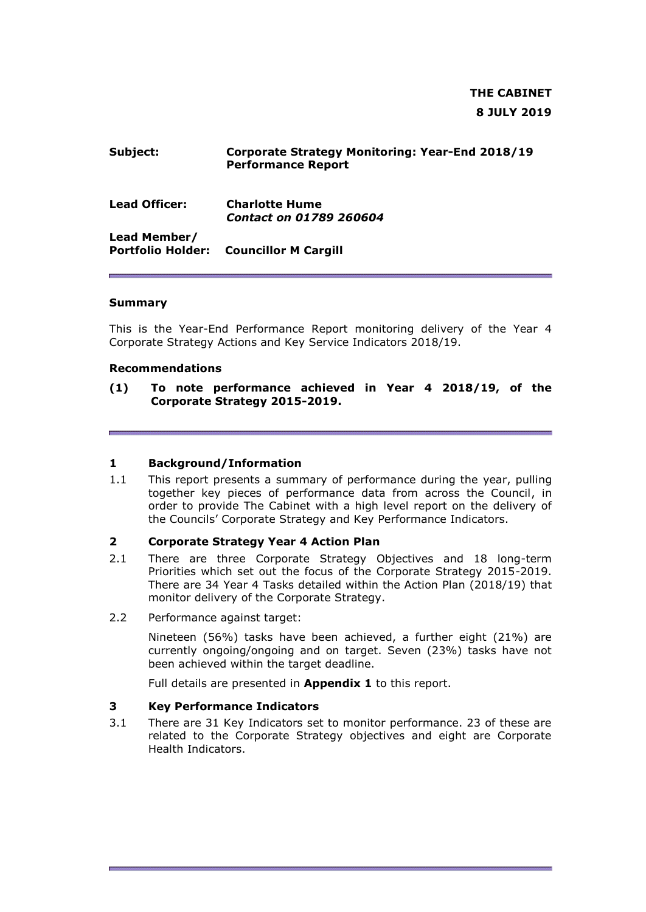# **THE CABINET 8 JULY 2019**

### **Subject: Corporate Strategy Monitoring: Year-End 2018/19 Performance Report**

| <b>Lead Officer:</b> | <b>Charlotte Hume</b><br><b>Contact on 01789 260604</b> |
|----------------------|---------------------------------------------------------|
| ----                 |                                                         |

**Lead Member/ Portfolio Holder: Councillor M Cargill**

#### **Summary**

This is the Year-End Performance Report monitoring delivery of the Year 4 Corporate Strategy Actions and Key Service Indicators 2018/19.

#### **Recommendations**

#### **(1) To note performance achieved in Year 4 2018/19, of the Corporate Strategy 2015-2019.**

#### **1 Background/Information**

1.1 This report presents a summary of performance during the year, pulling together key pieces of performance data from across the Council, in order to provide The Cabinet with a high level report on the delivery of the Councils' Corporate Strategy and Key Performance Indicators.

#### **2 Corporate Strategy Year 4 Action Plan**

- 2.1 There are three Corporate Strategy Objectives and 18 long-term Priorities which set out the focus of the Corporate Strategy 2015-2019. There are 34 Year 4 Tasks detailed within the Action Plan (2018/19) that monitor delivery of the Corporate Strategy.
- 2.2 Performance against target:

Nineteen (56%) tasks have been achieved, a further eight (21%) are currently ongoing/ongoing and on target. Seven (23%) tasks have not been achieved within the target deadline.

Full details are presented in **Appendix 1** to this report.

#### **3 Key Performance Indicators**

3.1 There are 31 Key Indicators set to monitor performance. 23 of these are related to the Corporate Strategy objectives and eight are Corporate Health Indicators.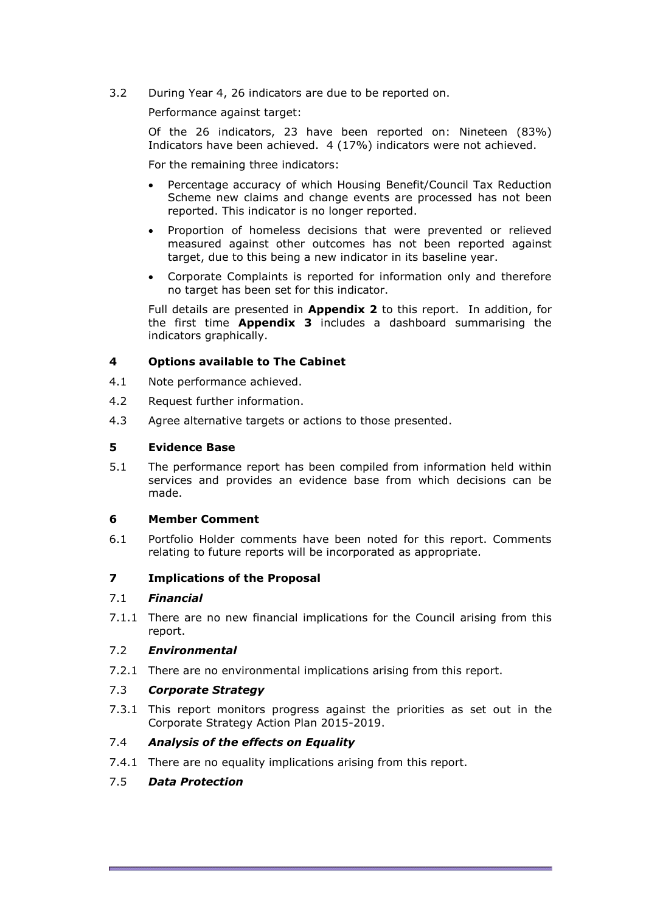3.2 During Year 4, 26 indicators are due to be reported on.

Performance against target:

Of the 26 indicators, 23 have been reported on: Nineteen (83%) Indicators have been achieved. 4 (17%) indicators were not achieved.

For the remaining three indicators:

- Percentage accuracy of which Housing Benefit/Council Tax Reduction Scheme new claims and change events are processed has not been reported. This indicator is no longer reported.
- Proportion of homeless decisions that were prevented or relieved measured against other outcomes has not been reported against target, due to this being a new indicator in its baseline year.
- Corporate Complaints is reported for information only and therefore no target has been set for this indicator.

Full details are presented in **Appendix 2** to this report. In addition, for the first time **Appendix 3** includes a dashboard summarising the indicators graphically.

#### **4 Options available to The Cabinet**

- 4.1 Note performance achieved.
- 4.2 Request further information.
- 4.3 Agree alternative targets or actions to those presented.

#### **5 Evidence Base**

5.1 The performance report has been compiled from information held within services and provides an evidence base from which decisions can be made.

#### **6 Member Comment**

6.1 Portfolio Holder comments have been noted for this report. Comments relating to future reports will be incorporated as appropriate.

#### **7 Implications of the Proposal**

#### 7.1 *Financial*

7.1.1 There are no new financial implications for the Council arising from this report.

#### 7.2 *Environmental*

7.2.1 There are no environmental implications arising from this report.

#### 7.3 *Corporate Strategy*

7.3.1 This report monitors progress against the priorities as set out in the Corporate Strategy Action Plan 2015-2019.

#### 7.4 *Analysis of the effects on Equality*

7.4.1 There are no equality implications arising from this report.

#### 7.5 *Data Protection*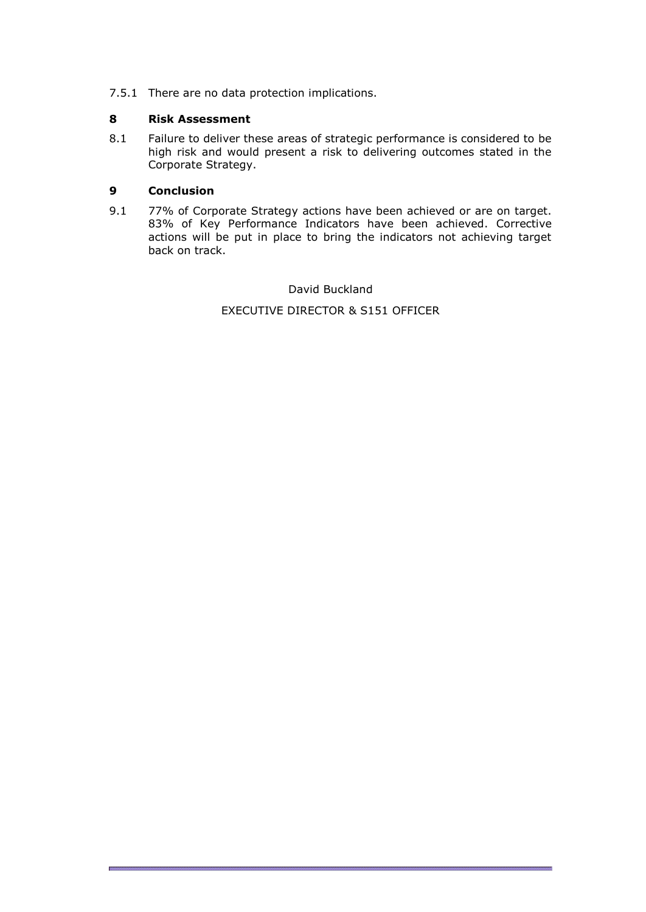7.5.1 There are no data protection implications.

#### **8 Risk Assessment**

8.1 Failure to deliver these areas of strategic performance is considered to be high risk and would present a risk to delivering outcomes stated in the Corporate Strategy.

### **9 Conclusion**

9.1 77% of Corporate Strategy actions have been achieved or are on target. 83% of Key Performance Indicators have been achieved. Corrective actions will be put in place to bring the indicators not achieving target back on track.

> David Buckland EXECUTIVE DIRECTOR & S151 OFFICER